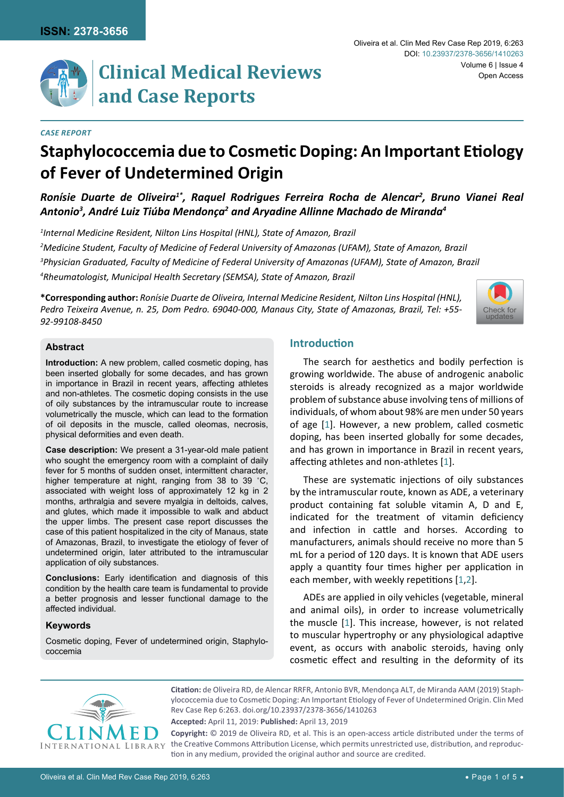

# **Clinical Medical Reviews and Case Reports**

#### *Case Report*

# **Staphylococcemia due to Cosmetic Doping: An Important Etiology of Fever of Undetermined Origin**

Ronísie Duarte de Oliveira<sup>1\*</sup>, Raquel Rodrigues Ferreira Rocha de Alencar<sup>2</sup>, Bruno Vianei Real Antonio<sup>3</sup>, André Luiz Tiúba Mendonça<sup>2</sup> and Aryadine Allinne Machado de Miranda<sup>4</sup>

 *Internal Medicine Resident, Nilton Lins Hospital (HNL), State of Amazon, Brazil Medicine Student, Faculty of Medicine of Federal University of Amazonas (UFAM), State of Amazon, Brazil Physician Graduated, Faculty of Medicine of Federal University of Amazonas (UFAM), State of Amazon, Brazil Rheumatologist, Municipal Health Secretary (SEMSA), State of Amazon, Brazil* 

**\*Corresponding author:** *Ronísie Duarte de Oliveira, Internal Medicine Resident, Nilton Lins Hospital (HNL), Pedro Teixeira Avenue, n. 25, Dom Pedro. 69040-000, Manaus City, State of Amazonas, Brazil, Tel: +55- 92-99108-8450*



## **Abstract**

**Introduction:** A new problem, called cosmetic doping, has been inserted globally for some decades, and has grown in importance in Brazil in recent years, affecting athletes and non-athletes. The cosmetic doping consists in the use of oily substances by the intramuscular route to increase volumetrically the muscle, which can lead to the formation of oil deposits in the muscle, called oleomas, necrosis, physical deformities and even death.

**Case description:** We present a 31-year-old male patient who sought the emergency room with a complaint of daily fever for 5 months of sudden onset, intermittent character, higher temperature at night, ranging from 38 to 39 ˚C, associated with weight loss of approximately 12 kg in 2 months, arthralgia and severe myalgia in deltoids, calves, and glutes, which made it impossible to walk and abduct the upper limbs. The present case report discusses the case of this patient hospitalized in the city of Manaus, state of Amazonas, Brazil, to investigate the etiology of fever of undetermined origin, later attributed to the intramuscular application of oily substances.

**Conclusions:** Early identification and diagnosis of this condition by the health care team is fundamental to provide a better prognosis and lesser functional damage to the affected individual.

#### **Keywords**

Cosmetic doping, Fever of undetermined origin, Staphylococcemia

# **Introduction**

The search for aesthetics and bodily perfection is growing worldwide. The abuse of androgenic anabolic steroids is already recognized as a major worldwide problem of substance abuse involving tens of millions of individuals, of whom about 98% are men under 50 years of age [[1](#page-3-0)]. However, a new problem, called cosmetic doping, has been inserted globally for some decades, and has grown in importance in Brazil in recent years, affecting athletes and non-athletes [[1](#page-3-0)].

These are systematic injections of oily substances by the intramuscular route, known as ADE, a veterinary product containing fat soluble vitamin A, D and E, indicated for the treatment of vitamin deficiency and infection in cattle and horses. According to manufacturers, animals should receive no more than 5 mL for a period of 120 days. It is known that ADE users apply a quantity four times higher per application in each member, with weekly repetitions [[1](#page-3-0)[,2](#page-3-1)].

ADEs are applied in oily vehicles (vegetable, mineral and animal oils), in order to increase volumetrically the muscle [[1](#page-3-0)]. This increase, however, is not related to muscular hypertrophy or any physiological adaptive event, as occurs with anabolic steroids, having only cosmetic effect and resulting in the deformity of its



**Citation:** de Oliveira RD, de Alencar RRFR, Antonio BVR, Mendonça ALT, de Miranda AAM (2019) Staphylococcemia due to Cosmetic Doping: An Important Etiology of Fever of Undetermined Origin. Clin Med Rev Case Rep 6:263. [doi.org/10.23937/2378-3656/1410263](https://doi.org/10.23937/2378-3656/1410263)

**Accepted:** April 11, 2019: **Published:** April 13, 2019

**Copyright:** © 2019 de Oliveira RD, et al. This is an open-access article distributed under the terms of the Creative Commons Attribution License, which permits unrestricted use, distribution, and reproduction in any medium, provided the original author and source are credited.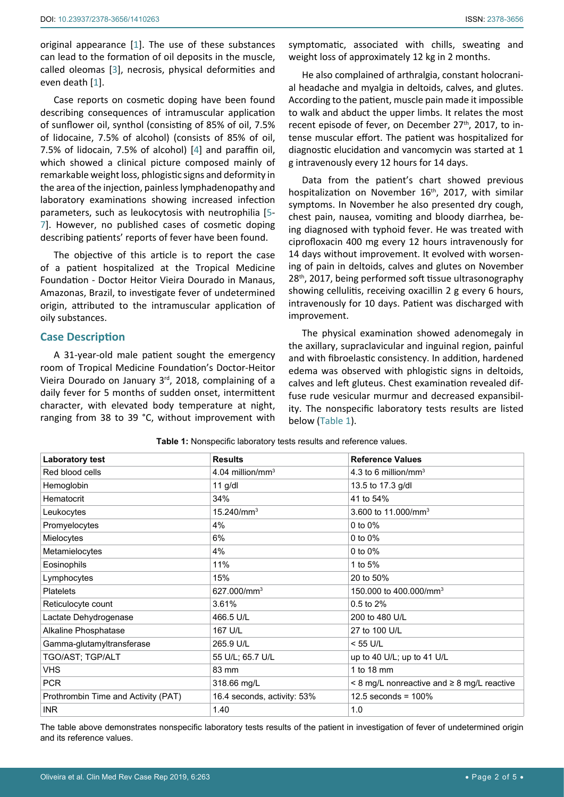original appearance [[1](#page-3-0)]. The use of these substances can lead to the formation of oil deposits in the muscle, called oleomas [[3](#page-4-0)], necrosis, physical deformities and even death [[1](#page-3-0)].

Case reports on cosmetic doping have been found describing consequences of intramuscular application of sunflower oil, synthol (consisting of 85% of oil, 7.5% of lidocaine, 7.5% of alcohol) (consists of 85% of oil, 7.5% of lidocain, 7.5% of alcohol) [[4](#page-4-1)] and paraffin oil, which showed a clinical picture composed mainly of remarkable weight loss, phlogistic signs and deformity in the area of the injection, painless lymphadenopathy and laboratory examinations showing increased infection parameters, such as leukocytosis with neutrophilia [[5](#page-4-2)- [7](#page-4-3)]. However, no published cases of cosmetic doping describing patients' reports of fever have been found.

The objective of this article is to report the case of a patient hospitalized at the Tropical Medicine Foundation - Doctor Heitor Vieira Dourado in Manaus, Amazonas, Brazil, to investigate fever of undetermined origin, attributed to the intramuscular application of oily substances.

#### **Case Description**

A 31-year-old male patient sought the emergency room of Tropical Medicine Foundation's Doctor-Heitor Vieira Dourado on January 3rd, 2018, complaining of a daily fever for 5 months of sudden onset, intermittent character, with elevated body temperature at night, ranging from 38 to 39 °C, without improvement with symptomatic, associated with chills, sweating and weight loss of approximately 12 kg in 2 months.

He also complained of arthralgia, constant holocranial headache and myalgia in deltoids, calves, and glutes. According to the patient, muscle pain made it impossible to walk and abduct the upper limbs. It relates the most recent episode of fever, on December 27<sup>th</sup>, 2017, to intense muscular effort. The patient was hospitalized for diagnostic elucidation and vancomycin was started at 1 g intravenously every 12 hours for 14 days.

Data from the patient's chart showed previous hospitalization on November  $16<sup>th</sup>$ , 2017, with similar symptoms. In November he also presented dry cough, chest pain, nausea, vomiting and bloody diarrhea, being diagnosed with typhoid fever. He was treated with ciprofloxacin 400 mg every 12 hours intravenously for 14 days without improvement. It evolved with worsening of pain in deltoids, calves and glutes on November 28<sup>th</sup>, 2017, being performed soft tissue ultrasonography showing cellulitis, receiving oxacillin 2 g every 6 hours, intravenously for 10 days. Patient was discharged with improvement.

The physical examination showed adenomegaly in the axillary, supraclavicular and inguinal region, painful and with fibroelastic consistency. In addition, hardened edema was observed with phlogistic signs in deltoids, calves and left gluteus. Chest examination revealed diffuse rude vesicular murmur and decreased expansibility. The nonspecific laboratory tests results are listed below (Table 1).

| <b>Laboratory test</b>              | <b>Results</b>               | <b>Reference Values</b>                              |
|-------------------------------------|------------------------------|------------------------------------------------------|
| Red blood cells                     | 4.04 million/mm <sup>3</sup> | 4.3 to 6 million/mm <sup>3</sup>                     |
| Hemoglobin                          | $11$ g/dl                    | 13.5 to 17.3 g/dl                                    |
| Hematocrit                          | 34%                          | 41 to 54%                                            |
| Leukocytes                          | 15.240/mm <sup>3</sup>       | 3.600 to 11.000/mm <sup>3</sup>                      |
| Promyelocytes                       | 4%                           | 0 to $0\%$                                           |
| Mielocytes                          | 6%                           | 0 to $0\%$                                           |
| Metamielocytes                      | 4%                           | 0 to 0%                                              |
| Eosinophils                         | 11%                          | 1 to 5%                                              |
| Lymphocytes                         | 15%                          | 20 to 50%                                            |
| <b>Platelets</b>                    | 627.000/mm <sup>3</sup>      | 150.000 to 400.000/mm <sup>3</sup>                   |
| Reticulocyte count                  | 3.61%                        | 0.5 to 2%                                            |
| Lactate Dehydrogenase               | 466.5 U/L                    | 200 to 480 U/L                                       |
| Alkaline Phosphatase                | 167 U/L                      | 27 to 100 U/L                                        |
| Gamma-glutamyltransferase           | 265.9 U/L                    | $<$ 55 U/L                                           |
| TGO/AST; TGP/ALT                    | 55 U/L; 65.7 U/L             | up to 40 U/L; up to 41 U/L                           |
| VHS.                                | 83 mm                        | 1 to 18 mm                                           |
| <b>PCR</b>                          | 318.66 mg/L                  | $\leq$ 8 mg/L nonreactive and $\geq$ 8 mg/L reactive |
| Prothrombin Time and Activity (PAT) | 16.4 seconds, activity: 53%  | 12.5 seconds = $100\%$                               |
| <b>INR</b>                          | 1.40                         | 1.0                                                  |

**Table 1:** Nonspecific laboratory tests results and reference values.

The table above demonstrates nonspecific laboratory tests results of the patient in investigation of fever of undetermined origin and its reference values.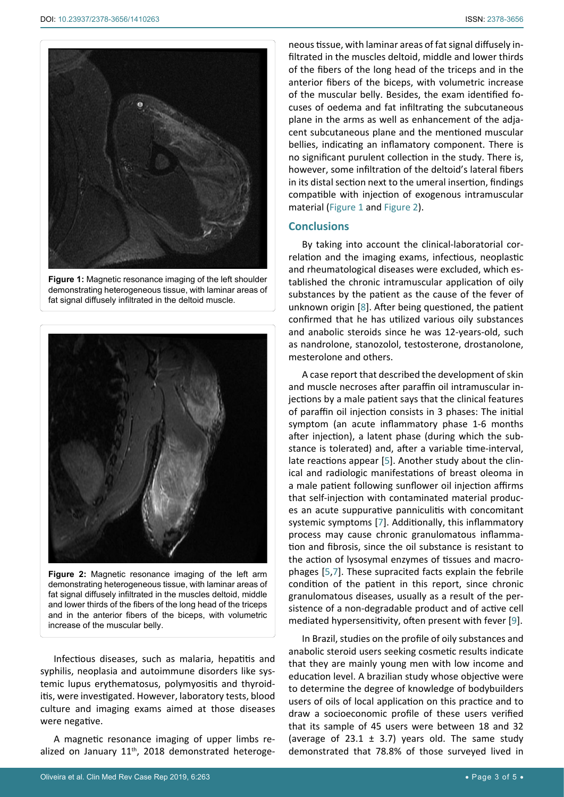<span id="page-2-0"></span>

**Figure 1:** Magnetic resonance imaging of the left shoulder demonstrating heterogeneous tissue, with laminar areas of fat signal diffusely infiltrated in the deltoid muscle.

<span id="page-2-1"></span>

**Figure 2:** Magnetic resonance imaging of the left arm demonstrating heterogeneous tissue, with laminar areas of fat signal diffusely infiltrated in the muscles deltoid, middle and lower thirds of the fibers of the long head of the triceps and in the anterior fibers of the biceps, with volumetric increase of the muscular belly.

Infectious diseases, such as malaria, hepatitis and syphilis, neoplasia and autoimmune disorders like systemic lupus erythematosus, polymyositis and thyroiditis, were investigated. However, laboratory tests, blood culture and imaging exams aimed at those diseases were negative.

A magnetic resonance imaging of upper limbs realized on January 11<sup>th</sup>, 2018 demonstrated heterogeneous tissue, with laminar areas of fat signal diffusely infiltrated in the muscles deltoid, middle and lower thirds of the fibers of the long head of the triceps and in the anterior fibers of the biceps, with volumetric increase of the muscular belly. Besides, the exam identified focuses of oedema and fat infiltrating the subcutaneous plane in the arms as well as enhancement of the adjacent subcutaneous plane and the mentioned muscular bellies, indicating an inflamatory component. There is no significant purulent collection in the study. There is, however, some infiltration of the deltoid's lateral fibers in its distal section next to the umeral insertion, findings compatible with injection of exogenous intramuscular material ([Figure 1](#page-2-0) and [Figure 2\)](#page-2-1).

#### **Conclusions**

By taking into account the clinical-laboratorial correlation and the imaging exams, infectious, neoplastic and rheumatological diseases were excluded, which established the chronic intramuscular application of oily substances by the patient as the cause of the fever of unknown origin [[8](#page-4-4)]. After being questioned, the patient confirmed that he has utilized various oily substances and anabolic steroids since he was 12-years-old, such as nandrolone, stanozolol, testosterone, drostanolone, mesterolone and others.

A case report that described the development of skin and muscle necroses after paraffin oil intramuscular injections by a male patient says that the clinical features of paraffin oil injection consists in 3 phases: The initial symptom (an acute inflammatory phase 1-6 months after injection), a latent phase (during which the substance is tolerated) and, after a variable time-interval, late reactions appear [[5\]](#page-4-2). Another study about the clinical and radiologic manifestations of breast oleoma in a male patient following sunflower oil injection affirms that self-injection with contaminated material produces an acute suppurative panniculitis with concomitant systemic symptoms [\[7\]](#page-4-3). Additionally, this inflammatory process may cause chronic granulomatous inflammation and fibrosis, since the oil substance is resistant to the action of lysosymal enzymes of tissues and macrophages [\[5](#page-4-2),[7\]](#page-4-3). These supracited facts explain the febrile condition of the patient in this report, since chronic granulomatous diseases, usually as a result of the persistence of a non-degradable product and of active cell mediated hypersensitivity, often present with fever [[9](#page-4-5)].

In Brazil, studies on the profile of oily substances and anabolic steroid users seeking cosmetic results indicate that they are mainly young men with low income and education level. A brazilian study whose objective were to determine the degree of knowledge of bodybuilders users of oils of local application on this practice and to draw a socioeconomic profile of these users verified that its sample of 45 users were between 18 and 32 (average of 23.1  $\pm$  3.7) years old. The same study demonstrated that 78.8% of those surveyed lived in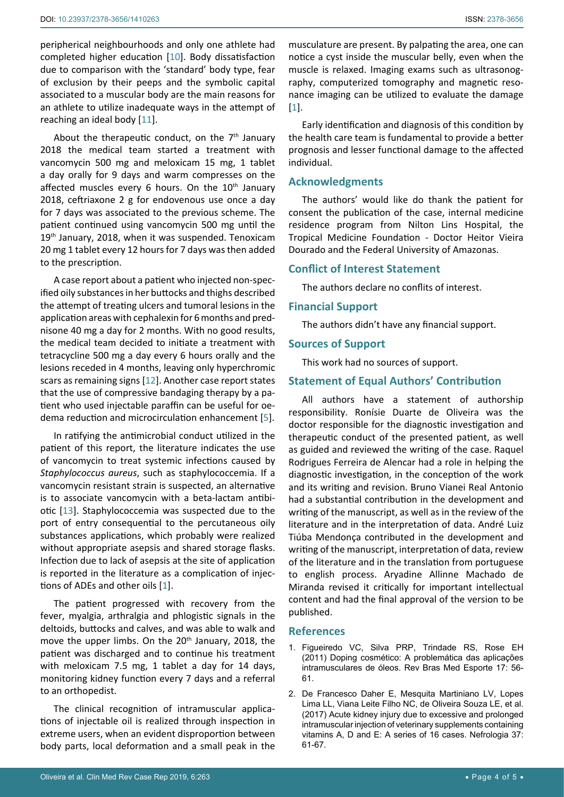peripherical neighbourhoods and only one athlete had completed higher education [[10](#page-4-6)]. Body dissatisfaction due to comparison with the 'standard' body type, fear of exclusion by their peeps and the symbolic capital associated to a muscular body are the main reasons for an athlete to utilize inadequate ways in the attempt of reaching an ideal body [[11](#page-4-7)].

About the therapeutic conduct, on the  $7<sup>th</sup>$  January 2018 the medical team started a treatment with vancomycin 500 mg and meloxicam 15 mg, 1 tablet a day orally for 9 days and warm compresses on the affected muscles every 6 hours. On the  $10<sup>th</sup>$  January 2018, ceftriaxone 2 g for endovenous use once a day for 7 days was associated to the previous scheme. The patient continued using vancomycin 500 mg until the 19<sup>th</sup> January, 2018, when it was suspended. Tenoxicam 20 mg 1 tablet every 12 hours for 7 days was then added to the prescription.

A case report about a patient who injected non-specified oily substances in her buttocks and thighs described the attempt of treating ulcers and tumoral lesions in the application areas with cephalexin for 6 months and prednisone 40 mg a day for 2 months. With no good results, the medical team decided to initiate a treatment with tetracycline 500 mg a day every 6 hours orally and the lesions receded in 4 months, leaving only hyperchromic scars as remaining signs [[12](#page-4-8)]. Another case report states that the use of compressive bandaging therapy by a patient who used injectable paraffin can be useful for oedema reduction and microcirculation enhancement [\[5\]](#page-4-2).

In ratifying the antimicrobial conduct utilized in the patient of this report, the literature indicates the use of vancomycin to treat systemic infections caused by *Staphylococcus aureus*, such as staphylococcemia. If a vancomycin resistant strain is suspected, an alternative is to associate vancomycin with a beta-lactam antibiotic [[13](#page-4-9)]. Staphylococcemia was suspected due to the port of entry consequential to the percutaneous oily substances applications, which probably were realized without appropriate asepsis and shared storage flasks. Infection due to lack of asepsis at the site of application is reported in the literature as a complication of injections of ADEs and other oils [[1](#page-3-0)].

The patient progressed with recovery from the fever, myalgia, arthralgia and phlogistic signals in the deltoids, buttocks and calves, and was able to walk and move the upper limbs. On the 20<sup>th</sup> January, 2018, the patient was discharged and to continue his treatment with meloxicam 7.5 mg, 1 tablet a day for 14 days, monitoring kidney function every 7 days and a referral to an orthopedist.

The clinical recognition of intramuscular applications of injectable oil is realized through inspection in extreme users, when an evident disproportion between body parts, local deformation and a small peak in the

musculature are present. By palpating the area, one can notice a cyst inside the muscular belly, even when the muscle is relaxed. Imaging exams such as ultrasonography, computerized tomography and magnetic resonance imaging can be utilized to evaluate the damage [[1](#page-3-0)].

Early identification and diagnosis of this condition by the health care team is fundamental to provide a better prognosis and lesser functional damage to the affected individual.

## **Acknowledgments**

The authors' would like do thank the patient for consent the publication of the case, internal medicine residence program from Nilton Lins Hospital, the Tropical Medicine Foundation - Doctor Heitor Vieira Dourado and the Federal University of Amazonas.

#### **Conflict of Interest Statement**

The authors declare no conflits of interest.

#### **Financial Support**

The authors didn't have any financial support.

#### **Sources of Support**

This work had no sources of support.

# **Statement of Equal Authors' Contribution**

All authors have a statement of authorship responsibility. Ronísie Duarte de Oliveira was the doctor responsible for the diagnostic investigation and therapeutic conduct of the presented patient, as well as guided and reviewed the writing of the case. Raquel Rodrigues Ferreira de Alencar had a role in helping the diagnostic investigation, in the conception of the work and its writing and revision. Bruno Vianei Real Antonio had a substantial contribution in the development and writing of the manuscript, as well as in the review of the literature and in the interpretation of data. André Luiz Tiúba Mendonça contributed in the development and writing of the manuscript, interpretation of data, review of the literature and in the translation from portuguese to english process. Aryadine Allinne Machado de Miranda revised it critically for important intellectual content and had the final approval of the version to be published.

#### **References**

- <span id="page-3-0"></span>1. [Figueiredo VC, Silva PRP, Trindade RS, Rose EH](http://www.scielo.br/scielo.php?pid=S1517-86922011000100011&script=sci_abstract)  [\(2011\) Doping cosmético: A problemática das aplicações](http://www.scielo.br/scielo.php?pid=S1517-86922011000100011&script=sci_abstract)  [intramusculares de óleos. Rev Bras Med Esporte 17: 56-](http://www.scielo.br/scielo.php?pid=S1517-86922011000100011&script=sci_abstract) [61.](http://www.scielo.br/scielo.php?pid=S1517-86922011000100011&script=sci_abstract)
- <span id="page-3-1"></span>2. [De Francesco Daher E, Mesquita Martiniano LV, Lopes](https://www.ncbi.nlm.nih.gov/pubmed/27577045)  [Lima LL, Viana Leite Filho NC, de Oliveira Souza LE, et al.](https://www.ncbi.nlm.nih.gov/pubmed/27577045)  [\(2017\) Acute kidney injury due to excessive and prolonged](https://www.ncbi.nlm.nih.gov/pubmed/27577045)  [intramuscular injection of veterinary supplements containing](https://www.ncbi.nlm.nih.gov/pubmed/27577045)  [vitamins A, D and E: A series of 16 cases. Nefrologia 37:](https://www.ncbi.nlm.nih.gov/pubmed/27577045)  [61-67.](https://www.ncbi.nlm.nih.gov/pubmed/27577045)